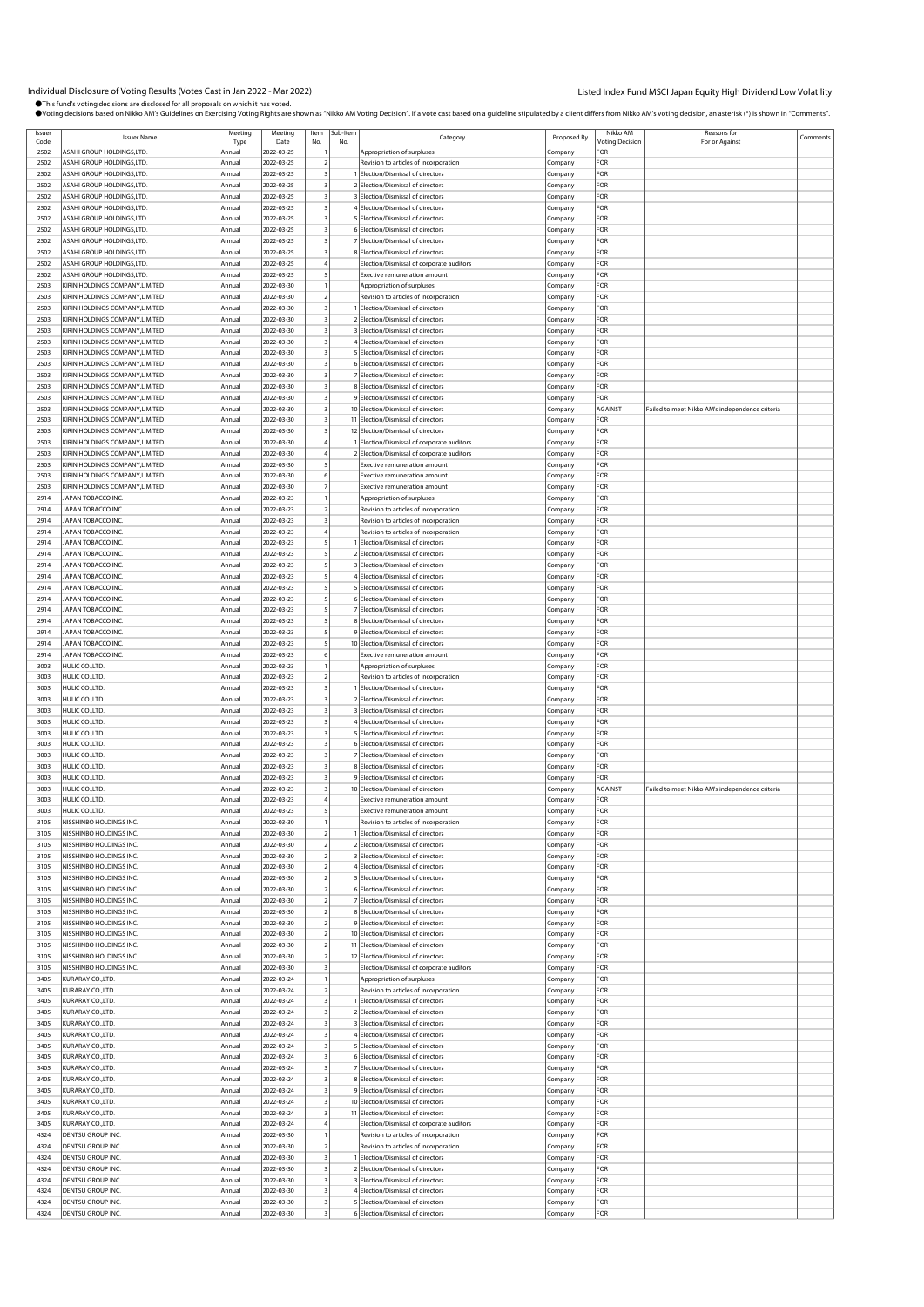# Individual Disclosure of Voting Results (Votes Cast in Jan 2022 - Mar 2022) Listed Index Fund MSCI Japan Equity High Dividend Low Volatility

●This fund's voting decisions are disclosed for all proposals on which it has voted.<br>●Voting decisions based on Nikko AM's Guidelines on Exercising Voting Rights are shown as "Nikko AM Voting Decision". If a vote cast bas

| Issuer | <b>Issuer Name</b>                      | Meeting | Meeting    | Item | Sub-Item | Category                                   | Proposed By | Nikko AM        | Reasons for                                     | Comments |
|--------|-----------------------------------------|---------|------------|------|----------|--------------------------------------------|-------------|-----------------|-------------------------------------------------|----------|
| Code   |                                         | Type    | Date       | No   | No.      |                                            |             | Voting Decision | For or Against                                  |          |
| 2502   | <b><i>ASAHI GROUP HOLDINGS,LTD</i></b>  | Annual  | 2022-03-25 |      |          | Appropriation of surpluses                 | Company     | FOR             |                                                 |          |
| 2502   | <b><i>ASAHI GROUP HOLDINGS,LTD.</i></b> | Annual  | 2022-03-25 |      |          | Revision to articles of incorporation      | Company     | FOR             |                                                 |          |
| 2502   | ASAHI GROUP HOLDINGS,LTD.               | Annual  | 2022-03-25 |      |          | Election/Dismissal of directors            | Company     | FOR             |                                                 |          |
| 2502   | ASAHI GROUP HOLDINGS,LTD.               | Annual  | 2022-03-25 |      |          | 2 Election/Dismissal of directors          | Company     | FOR             |                                                 |          |
| 2502   | <b>ASAHI GROUP HOLDINGS, LTD.</b>       | Annual  | 2022-03-25 |      |          | Election/Dismissal of directors            |             | FOR             |                                                 |          |
|        |                                         |         |            |      |          |                                            | Company     |                 |                                                 |          |
| 2502   | ASAHI GROUP HOLDINGS,LTD                | Annual  | 2022-03-25 |      |          | 4 Election/Dismissal of directors          | Company     | FOR             |                                                 |          |
| 2502   | ASAHI GROUP HOLDINGS,LTD.               | Annual  | 2022-03-25 |      |          | 5 Election/Dismissal of directors          | Company     | FOR             |                                                 |          |
| 2502   | ASAHI GROUP HOLDINGS, LTD.              | Annual  | 2022-03-25 |      |          | 6 Election/Dismissal of directors          | Company     | <b>FOR</b>      |                                                 |          |
| 2502   | ASAHI GROUP HOLDINGS,LTD.               | Annual  | 2022-03-25 |      |          | Election/Dismissal of directors            | Company     | FOR             |                                                 |          |
| 2502   | <b>ISAHI GROUP HOLDINGS,LTD.</b>        | Annual  | 2022-03-25 |      |          | Election/Dismissal of directors            |             | FOR             |                                                 |          |
|        |                                         |         |            |      |          |                                            | Company     |                 |                                                 |          |
| 2502   | ASAHI GROUP HOLDINGS,LTD.               | Annual  | 2022-03-25 |      |          | Election/Dismissal of corporate auditors   | Company     | FOR             |                                                 |          |
| 2502   | ASAHI GROUP HOLDINGS,LTD.               | Annual  | 2022-03-25 |      |          | <b>Exective remuneration amount</b>        | Company     | FOR             |                                                 |          |
| 2503   | KIRIN HOLDINGS COMPANY,LIMITED          | Annual  | 2022-03-30 |      |          | Appropriation of surpluses                 | Company     | FOR             |                                                 |          |
| 2503   | KIRIN HOLDINGS COMPANY,LIMITED          | Annual  | 2022-03-30 |      |          | Revision to articles of incorporation      | Company     | FOR             |                                                 |          |
| 2503   | KIRIN HOLDINGS COMPANY, LIMITED         | Annual  | 2022-03-30 |      |          | <b>Election/Dismissal of directors</b>     | Company     | FOR             |                                                 |          |
|        | KIRIN HOLDINGS COMPANY, LIMITED         |         |            |      |          |                                            |             | FOR             |                                                 |          |
| 2503   |                                         | Annual  | 2022-03-30 |      |          | Election/Dismissal of directors            | Company     |                 |                                                 |          |
| 2503   | KIRIN HOLDINGS COMPANY, LIMITED         | Annual  | 2022-03-30 |      |          | 3 Election/Dismissal of directors          | Company     | FOR             |                                                 |          |
| 2503   | KIRIN HOLDINGS COMPANY,LIMITED          | Annual  | 2022-03-30 |      |          | 4 Election/Dismissal of directors          | Company     | FOR             |                                                 |          |
| 2503   | KIRIN HOLDINGS COMPANY,LIMITED          | Annual  | 2022-03-30 |      |          | 5 Election/Dismissal of directors          | Company     | FOR             |                                                 |          |
| 2503   | KIRIN HOLDINGS COMPANY, LIMITED         | Annual  | 2022-03-30 |      |          | Election/Dismissal of directors            | Company     | FOR             |                                                 |          |
| 2503   | KIRIN HOLDINGS COMPANY, LIMITED         | Annual  | 2022-03-30 |      |          | Election/Dismissal of directors            | Company     | FOR             |                                                 |          |
| 2503   | KIRIN HOLDINGS COMPANY, LIMITED         | Annual  | 2022-03-30 |      |          | 8 Election/Dismissal of directors          |             | FOR             |                                                 |          |
|        |                                         |         |            |      |          |                                            | Company     |                 |                                                 |          |
| 2503   | KIRIN HOLDINGS COMPANY, LIMITED         | Annual  | 2022-03-30 |      |          | 9 Election/Dismissal of directors          | Company     | FOR             |                                                 |          |
| 2503   | KIRIN HOLDINGS COMPANY, LIMITED         | Annual  | 2022-03-30 |      |          | 10 Election/Dismissal of directors         | Company     | <b>AGAINST</b>  | Failed to meet Nikko AM's independence criteria |          |
| 2503   | KIRIN HOLDINGS COMPANY, LIMITED         | Annual  | 2022-03-30 |      | 11       | Election/Dismissal of directors            | Company     | FOR             |                                                 |          |
| 2503   | KIRIN HOLDINGS COMPANY, LIMITED         | Annual  | 2022-03-30 |      |          | 12 Election/Dismissal of directors         | Company     | FOR             |                                                 |          |
| 2503   | KIRIN HOLDINGS COMPANY, LIMITED         | Annual  | 2022-03-30 |      |          | Election/Dismissal of corporate auditors   | Company     | FOR             |                                                 |          |
|        |                                         |         | 2022-03-30 |      |          |                                            |             | FOR             |                                                 |          |
| 2503   | KIRIN HOLDINGS COMPANY, LIMITED         | Annual  |            |      |          | 2 Election/Dismissal of corporate auditors | Company     |                 |                                                 |          |
| 2503   | KIRIN HOLDINGS COMPANY,LIMITED          | Annual  | 2022-03-30 |      |          | <b>Exective remuneration amount</b>        | Company     | FOR             |                                                 |          |
| 2503   | KIRIN HOLDINGS COMPANY, LIMITED         | Annual  | 2022-03-30 |      |          | Exective remuneration amount               | Company     | FOR             |                                                 |          |
| 2503   | KIRIN HOLDINGS COMPANY, LIMITED         | Annual  | 2022-03-30 |      |          | <b>Exective remuneration amount</b>        | Company     | FOR             |                                                 |          |
| 2914   | JAPAN TOBACCO INC.                      | Annual  | 2022-03-23 |      |          | Appropriation of surpluses                 | Company     | FOR             |                                                 |          |
| 2914   | JAPAN TOBACCO INC.                      | Annual  | 2022-03-23 |      |          | Revision to articles of incorporation      | Company     | FOR             |                                                 |          |
| 2914   | JAPAN TOBACCO INC.                      | Annual  | 2022-03-23 |      |          |                                            |             | FOR             |                                                 |          |
|        |                                         |         |            |      |          | Revision to articles of incorporation      | Company     |                 |                                                 |          |
| 2914   | APAN TOBACCO INC.                       | Annual  | 2022-03-23 |      |          | Revision to articles of incorporation      | Company     | FOR             |                                                 |          |
| 2914   | APAN TOBACCO INC.                       | Annual  | 2022-03-23 |      |          | Election/Dismissal of directors            | Company     | FOR             |                                                 |          |
| 2914   | JAPAN TOBACCO INC.                      | Annual  | 2022-03-23 |      |          | 2 Election/Dismissal of directors          | Company     | FOR             |                                                 |          |
| 2914   | JAPAN TOBACCO INC.                      | Annual  | 2022-03-23 |      |          | 3 Election/Dismissal of directors          | Company     | FOR             |                                                 |          |
| 2914   | JAPAN TOBACCO INC.                      | Annual  | 2022-03-23 |      |          | 4 Election/Dismissal of directors          | Company     | FOR             |                                                 |          |
| 2914   | APAN TOBACCO INC.                       | Annual  | 2022-03-23 |      |          | Election/Dismissal of directors            | Company     | FOR             |                                                 |          |
| 2914   | JAPAN TOBACCO INC.                      | Annual  | 2022-03-23 |      |          | 6 Election/Dismissal of directors          | Company     | FOR             |                                                 |          |
| 2914   | JAPAN TOBACCO INC.                      | Annual  | 2022-03-23 |      |          | 7 Election/Dismissal of directors          | Company     | FOR             |                                                 |          |
|        |                                         |         |            |      |          |                                            |             | FOR             |                                                 |          |
| 2914   | JAPAN TOBACCO INC.                      | Annual  | 2022-03-23 |      |          | 8 Election/Dismissal of directors          | Company     |                 |                                                 |          |
| 2914   | JAPAN TOBACCO INC.                      | Annual  | 2022-03-23 |      |          | 9 Election/Dismissal of directors          | Company     | FOR             |                                                 |          |
| 2914   | APAN TOBACCO INC.                       | Annual  | 2022-03-23 |      |          | 10 Election/Dismissal of directors         | Company     | FOR             |                                                 |          |
| 2914   | JAPAN TOBACCO INC.                      | Annual  | 2022-03-23 |      |          | Exective remuneration amount               | Company     | FOR             |                                                 |          |
| 3003   | HULIC CO., LTD.                         | Annual  | 2022-03-23 |      |          | Appropriation of surpluses                 | Company     | FOR             |                                                 |          |
| 3003   | HULIC CO.,LTD                           | Annual  | 2022-03-23 |      |          | Revision to articles of incorporation      | Company     | FOR             |                                                 |          |
| 3003   | HULIC CO., LTD.                         | Annual  | 2022-03-23 |      |          | Election/Dismissal of directors            | Company     | FOR             |                                                 |          |
| 3003   | HULIC COLTD.                            | Annual  | 2022-03-23 |      |          | Election/Dismissal of directors            | Company     | FOR             |                                                 |          |
| 3003   | HULIC CO.,LTD                           | Annual  | 2022-03-23 |      |          | 3 Election/Dismissal of directors          | Company     | FOR             |                                                 |          |
|        |                                         |         |            |      |          |                                            |             |                 |                                                 |          |
| 3003   | HULIC CO., LTD.                         | Annual  | 2022-03-23 |      |          | 4 Election/Dismissal of directors          | Company     | FOR             |                                                 |          |
| 3003   | HULIC CO.,LTD                           | Annual  | 2022-03-23 |      |          | 5 Election/Dismissal of directors          | Company     | FOR             |                                                 |          |
| 3003   | HULIC CO., LTD.                         | Annual  | 2022-03-23 |      |          | 6 Election/Dismissal of directors          | Company     | FOR             |                                                 |          |
| 3003   | HULIC COLTD.                            | Annual  | 2022-03-23 |      |          | Election/Dismissal of directors            | Company     | FOR             |                                                 |          |
| 3003   | HULIC CO.,LTD                           | Annual  | 2022-03-23 |      |          | 8 Election/Dismissal of directors          | Company     | FOR             |                                                 |          |
| 3003   | HULIC CO., LTD.                         | Annual  | 2022-03-23 |      |          | Election/Dismissal of directors            | Company     | FOR             |                                                 |          |
| 3003   | HULIC CO.,LTD                           | Annual  | 2022-03-23 |      |          | 10 Election/Dismissal of directors         | Company     | <b>AGAINST</b>  | Failed to meet Nikko AM's independence criteria |          |
|        |                                         |         |            |      |          |                                            |             |                 |                                                 |          |
| 3003   | HULIC CO., LTD.                         | Annual  | 2022-03-23 |      |          | <b>Exective remuneration amount</b>        | Company     | FOR             |                                                 |          |
| 3003   | HULIC CO.,LTD.                          | Annual  | 2022-03-23 |      |          | <b>Exective remuneration amount</b>        | Company     | FOR             |                                                 |          |
| 3105   | NISSHINBO HOLDINGS INC.                 | Annual  | 2022-03-30 |      |          | Revision to articles of incorporation      | Company     | FOR             |                                                 |          |
| 3105   | NISSHINBO HOLDINGS INC.                 | Annual  | 2022-03-30 |      |          | Election/Dismissal of directors            | Company     | FOR             |                                                 |          |
| 3105   | NISSHINBO HOLDINGS INC.                 | Annual  | 2022-03-30 |      |          | 2 Election/Dismissal of directors          | Company     | FOR             |                                                 |          |
| 3105   | NISSHINBO HOLDINGS INC.                 | Annual  | 2022-03-30 |      |          | 3 Election/Dismissal of directors          | Company     | FOR             |                                                 |          |
| 3105   | NISSHINBO HOLDINGS INC.                 | Annual  | 2022-03-30 |      |          | 4 Election/Dismissal of directors          | Company     | FOR             |                                                 |          |
|        | NISSHINBO HOLDINGS INC.                 |         | 2022-03-30 |      |          | 5 Election/Dismissal of directors          |             | FOR             |                                                 |          |
| 3105   |                                         | Annual  |            |      |          |                                            | Company     |                 |                                                 |          |
| 3105   | NISSHINBO HOLDINGS INC.                 | Annual  | 2022-03-30 |      |          | 6 Election/Dismissal of directors          | Company     | FOR             |                                                 |          |
| 3105   | NISSHINBO HOLDINGS INC.                 | Annual  | 2022-03-30 |      |          | 7 Election/Dismissal of directors          | Company     | FOR             |                                                 |          |
| 3105   | NISSHINBO HOLDINGS INC.                 | Annual  | 2022-03-30 |      |          | 8 Election/Dismissal of directors          | Company     | FOR             |                                                 |          |
| 3105   | NISSHINBO HOLDINGS INC.                 | Annual  | 2022-03-30 |      |          | Election/Dismissal of directors            | Company     | FOR             |                                                 |          |
| 3105   | NISSHINBO HOLDINGS INC.                 | Annual  | 2022-03-30 |      |          | 10 Election/Dismissal of directors         | Company     | FOR             |                                                 |          |
| 3105   | NISSHINBO HOLDINGS INC.                 | Annual  | 2022-03-30 |      | 11       | Election/Dismissal of directors            | Company     | FOR             |                                                 |          |
| 3105   | NISSHINBO HOLDINGS INC.                 | Annual  | 2022-03-30 |      |          | 12 Election/Dismissal of directors         | Company     | FOR             |                                                 |          |
| 3105   | NISSHINBO HOLDINGS INC.                 | Annual  | 2022-03-30 |      |          | Election/Dismissal of corporate auditors   | Company     | FOR             |                                                 |          |
| 3405   | KURARAY CO.,LTD.                        | Annual  | 2022-03-24 |      |          | Appropriation of surpluses                 | Company     | FOR             |                                                 |          |
| 3405   | KURARAY CO.,LTD.                        |         |            |      |          |                                            |             | FOR             |                                                 |          |
|        |                                         | Annual  | 2022-03-24 |      |          | Revision to articles of incorporation      | Company     |                 |                                                 |          |
| 3405   | KURARAY CO.,LTD.                        | Annual  | 2022-03-24 |      |          | Election/Dismissal of directors            | Company     | FOR             |                                                 |          |
| 3405   | KURARAY CO.,LTD.                        | Annual  | 2022-03-24 |      |          | 2 Election/Dismissal of directors          | Company     | FOR             |                                                 |          |
| 3405   | KURARAY CO.,LTD.                        | Annual  | 2022-03-24 |      |          | 3 Election/Dismissal of directors          | Company     | FOR             |                                                 |          |
| 3405   | KURARAY CO.,LTD.                        | Annual  | 2022-03-24 |      |          | 4 Election/Dismissal of directors          | Company     | FOR             |                                                 |          |
| 3405   | KURARAY CO.,LTD.                        | Annual  | 2022-03-24 |      |          | 5 Election/Dismissal of directors          | Company     | FOR             |                                                 |          |
| 3405   | KURARAY CO.,LTD.                        | Annual  | 2022-03-24 |      |          | 6 Election/Dismissal of directors          | Company     | FOR             |                                                 |          |
| 3405   | KURARAY CO.,LTD.                        | Annual  | 2022-03-24 |      |          | 7 Election/Dismissal of directors          | Company     | FOR             |                                                 |          |
|        |                                         |         |            |      |          | 8 Election/Dismissal of directors          |             | FOR             |                                                 |          |
| 3405   | KURARAY CO.,LTD.                        | Annual  | 2022-03-24 |      |          |                                            | Company     |                 |                                                 |          |
| 3405   | KURARAY CO.,LTD.                        | Annual  | 2022-03-24 |      |          | 9 Election/Dismissal of directors          | Company     | FOR             |                                                 |          |
| 3405   | KURARAY CO.,LTD.                        | Annual  | 2022-03-24 |      |          | 10 Election/Dismissal of directors         | Company     | FOR             |                                                 |          |
| 3405   | KURARAY CO.,LTD.                        | Annual  | 2022-03-24 |      | 11       | Election/Dismissal of directors            | Company     | FOR             |                                                 |          |
| 3405   | KURARAY CO.,LTD.                        | Annual  | 2022-03-24 |      |          | Election/Dismissal of corporate auditors   | Company     | FOR             |                                                 |          |
| 4324   | DENTSU GROUP INC.                       | Annual  | 2022-03-30 |      |          | Revision to articles of incorporation      | Company     | FOR             |                                                 |          |
| 4324   | DENTSU GROUP INC.                       | Annual  | 2022-03-30 |      |          | Revision to articles of incorporation      | Company     | FOR             |                                                 |          |
| 4324   | DENTSU GROUP INC.                       | Annual  | 2022-03-30 |      |          | Election/Dismissal of directors            | Company     | FOR             |                                                 |          |
| 4324   | DENTSU GROUP INC.                       | Annual  | 2022-03-30 |      |          | 2 Election/Dismissal of directors          | Company     | FOR             |                                                 |          |
| 4324   | DENTSU GROUP INC.                       | Annual  | 2022-03-30 |      |          | Election/Dismissal of directors            | Company     | FOR             |                                                 |          |
| 4324   | DENTSU GROUP INC.                       | Annual  |            |      |          | 4 Election/Dismissal of directors          |             | FOR             |                                                 |          |
|        |                                         |         | 2022-03-30 |      |          |                                            | Company     |                 |                                                 |          |
| 4324   | DENTSU GROUP INC.                       | Annual  | 2022-03-30 |      |          | Election/Dismissal of directors            | Company     | FOR             |                                                 |          |
| 4324   | <b>DENTSU GROUP INC.</b>                | Annual  | 2022-03-30 |      |          | 6 Election/Dismissal of directors          | Company     | FOR             |                                                 |          |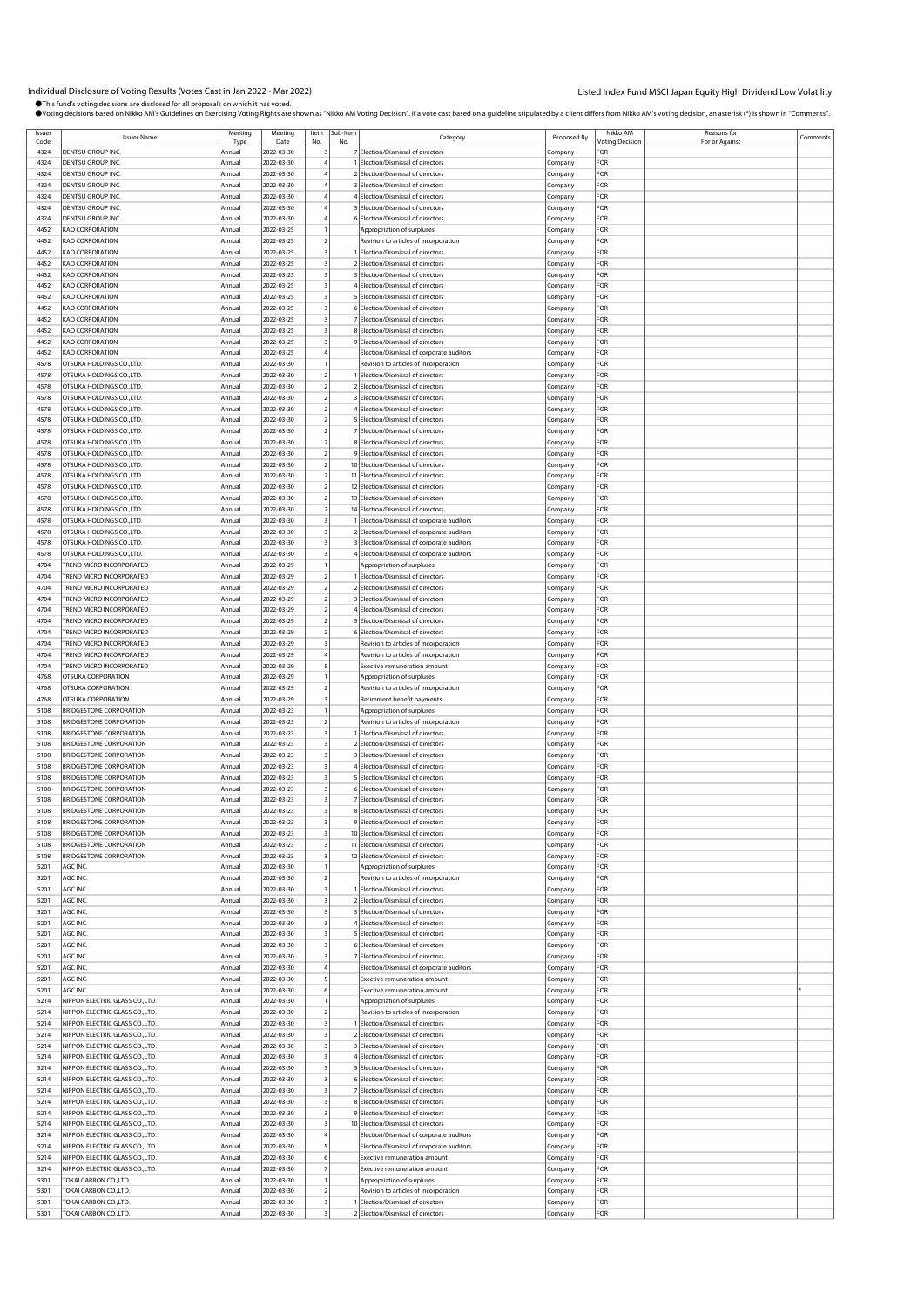Individual Disclosure of Voting Results (Votes Cast in Jan 2022 - Mar 2022)<br>●This fund svoting decisions are disclosed for all proposals on which thas voted.<br>●Voting decisions based on Nikko AM's Guidelines on Exercising

| Issuer<br>Code | <b>Issuer Name</b>              | Meeting<br>Type | Meeting<br>Date | Item                    | Sub-Item<br>No | Category                                        | Proposed By | Nikko AM<br><b>/oting Decision</b> | Reasons for<br>For or Against | Comments |
|----------------|---------------------------------|-----------------|-----------------|-------------------------|----------------|-------------------------------------------------|-------------|------------------------------------|-------------------------------|----------|
|                | DENTSU GROUP INC.               |                 |                 |                         |                |                                                 |             | FOR                                |                               |          |
| 4324           |                                 | Annual          | 2022-03-30      |                         |                | 7 Election/Dismissal of directors               | Company     |                                    |                               |          |
| 4324           | DENTSU GROUP INC.               | Annual          | 2022-03-30      |                         |                | Flection/Dismissal of directors                 | Company     | FOR                                |                               |          |
| 4324           | DENTSU GROUP INC.               | Annual          | 2022-03-30      |                         |                | 2 Election/Dismissal of directors               | Company     | FOR                                |                               |          |
| 4324           | DENTSU GROUP INC.               | Annual          | 2022-03-30      |                         |                | 3 Election/Dismissal of directors               | Company     | FOR                                |                               |          |
| 4324           | dentsu group inc.               | Annual          | 2022-03-30      |                         |                | 4 Election/Dismissal of directors               | Company     | FOR                                |                               |          |
| 4324           | DENTSU GROUP INC.               | Annual          | 2022-03-30      |                         |                | 5 Election/Dismissal of directors               | Company     | FOR                                |                               |          |
| 4324           | DENTSU GROUP INC.               | Annual          | 2022-03-30      |                         |                | 6 Election/Dismissal of directors               |             | FOR                                |                               |          |
|                |                                 |                 |                 |                         |                |                                                 | Company     |                                    |                               |          |
| 4452           | KAO CORPORATION                 | Annual          | 2022-03-25      |                         |                | Appropriation of surpluses                      | Company     | FOR                                |                               |          |
| 4452           | KAO CORPORATION                 | Annual          | 2022-03-25      |                         |                | Revision to articles of incorporation           | Company     | FOR                                |                               |          |
| 4452           | KAO CORPORATION                 | Annual          | 2022-03-25      |                         |                | Election/Dismissal of directors                 | Company     | FOR                                |                               |          |
| 4452           | KAO CORPORATION                 | Annual          | 2022-03-25      |                         |                | 2 Election/Dismissal of directors               | Company     | FOR                                |                               |          |
|                |                                 |                 |                 |                         |                |                                                 |             |                                    |                               |          |
| 4452           | KAO CORPORATION                 | Annual          | 2022-03-25      |                         |                | 3 Election/Dismissal of directors               | Company     | FOR                                |                               |          |
| 4452           | KAO CORPORATION                 | Annual          | 2022-03-25      |                         |                | 4 Election/Dismissal of directors               | Company     | FOR                                |                               |          |
| 4452           | KAO CORPORATION                 | Annual          | 2022-03-25      |                         |                | Flection/Dismissal of directors                 | Company     | FOR                                |                               |          |
| 4452           | KAO CORPORATION                 | Annual          | 2022-03-25      |                         |                | 6 Election/Dismissal of directors               | Company     | FOR                                |                               |          |
| 4452           |                                 |                 |                 |                         |                |                                                 |             | FOR                                |                               |          |
|                | KAO CORPORATION                 | Annual          | 2022-03-25      |                         |                | 7 Election/Dismissal of directors               | Company     |                                    |                               |          |
| 4452           | <b>KAO CORPORATION</b>          | Annual          | 2022-03-25      |                         |                | 8 Election/Dismissal of directors               | Company     | FOR                                |                               |          |
| 4452           | <b>KAO CORPORATION</b>          | Annual          | 2022-03-25      |                         |                | 9 Election/Dismissal of directors               | Company     | FOR                                |                               |          |
| 4452           | <b>KAO CORPORATION</b>          | Annual          | 2022-03-25      |                         |                | Election/Dismissal of corporate auditors        | Company     | FOR                                |                               |          |
| 4578           | OTSUKA HOLDINGS CO.,LTD.        | Annual          | 2022-03-30      |                         |                | Revision to articles of incorporation           | Company     | FOR                                |                               |          |
|                |                                 |                 |                 |                         |                |                                                 |             | FOR                                |                               |          |
| 4578           | OTSUKA HOLDINGS CO., LTD.       | Annual          | 2022-03-30      |                         |                | 1 Election/Dismissal of directors               | Company     |                                    |                               |          |
| 4578           | OTSUKA HOLDINGS CO., LTD.       | Annual          | 2022-03-30      |                         |                | 2 Election/Dismissal of directors               | Company     | FOR                                |                               |          |
| 4578           | OTSUKA HOLDINGS CO., LTD.       | Annual          | 2022-03-30      |                         |                | 3 Election/Dismissal of directors               | Company     | FOR                                |                               |          |
| 4578           | OTSUKA HOLDINGS CO., LTD.       | Annual          | 2022-03-30      |                         |                | Election/Dismissal of directors                 | Company     | FOR                                |                               |          |
| 4578           | OTSUKA HOLDINGS CO.,LTD.        | Annual          | 2022-03-30      |                         |                | 5 Election/Dismissal of directors               | Company     | FOR                                |                               |          |
|                |                                 |                 |                 |                         |                |                                                 |             |                                    |                               |          |
| 4578           | OTSUKA HOLDINGS CO., LTD.       | Annual          | 2022-03-30      |                         |                | 7 Election/Dismissal of directors               | Company     | FOR                                |                               |          |
| 4578           | OTSUKA HOLDINGS CO., LTD.       | Annual          | 2022-03-30      |                         |                | 8 Election/Dismissal of directors               | Company     | FOR                                |                               |          |
| 4578           | OTSUKA HOLDINGS CO., LTD.       | Annual          | 2022-03-30      |                         |                | 9 Election/Dismissal of directors               | Company     | FOR                                |                               |          |
| 4578           | OTSUKA HOLDINGS CO., LTD.       | Annual          | 2022-03-30      |                         |                | 10 Election/Dismissal of directors              | Company     | FOR                                |                               |          |
| 4578           | OTSUKA HOLDINGS CO.,LTD.        | Annual          | 2022-03-30      |                         |                | 11 Election/Dismissal of directors              | Company     | FOR                                |                               |          |
|                |                                 |                 |                 |                         |                |                                                 |             |                                    |                               |          |
| 4578           | OTSUKA HOLDINGS CO., LTD.       | Annual          | 2022-03-30      |                         |                | 12 Election/Dismissal of directors              | Company     | FOR                                |                               |          |
| 4578           | OTSUKA HOLDINGS CO.,LTD.        | Annual          | 2022-03-30      |                         |                | 13 Election/Dismissal of directors              | Company     | FOR                                |                               |          |
| 4578           | OTSUKA HOLDINGS CO., LTD.       | Annual          | 2022-03-30      |                         |                | 14 Election/Dismissal of directors              | Company     | FOR                                |                               |          |
| 4578           | OTSUKA HOLDINGS CO.,LTD.        | Annual          | 2022-03-30      |                         |                | Election/Dismissal of corporate auditors        | Company     | FOR                                |                               |          |
|                | OTSUKA HOLDINGS CO.,LTD.        |                 | 2022-03-30      |                         |                | 2 Election/Dismissal of corporate auditors      |             | FOR                                |                               |          |
| 4578           |                                 | Annual          |                 |                         |                |                                                 | Company     |                                    |                               |          |
| 4578           | OTSUKA HOLDINGS CO., LTD.       | Annual          | 2022-03-30      |                         |                | 3 Election/Dismissal of corporate auditors      | Company     | FOR                                |                               |          |
| 4578           | OTSUKA HOLDINGS CO.,LTD.        | Annual          | 2022-03-30      |                         |                | <b>Election/Dismissal of corporate auditors</b> | Company     | FOR                                |                               |          |
| 4704           | TREND MICRO INCORPORATED        | Annual          | 2022-03-29      |                         |                | Appropriation of surpluses                      | Company     | FOR                                |                               |          |
| 4704           | TREND MICRO INCORPORATED        | Annual          | 2022-03-29      |                         |                | Election/Dismissal of directors                 | Company     | FOR                                |                               |          |
|                |                                 |                 |                 |                         |                |                                                 |             |                                    |                               |          |
| 4704           | <b>FREND MICRO INCORPORATED</b> | Annual          | 2022-03-29      |                         |                | 2 Election/Dismissal of directors               | Company     | FOR                                |                               |          |
| 4704           | TREND MICRO INCORPORATED        | Annual          | 2022-03-29      |                         |                | 3 Election/Dismissal of directors               | Company     | FOR                                |                               |          |
| 4704           | TREND MICRO INCORPORATED        | Annual          | 2022-03-29      |                         |                | 4 Election/Dismissal of directors               | Company     | FOR                                |                               |          |
| 4704           | TREND MICRO INCORPORATED        | Annual          | 2022-03-29      |                         |                | 5 Election/Dismissal of directors               | Company     | FOR                                |                               |          |
| 4704           |                                 |                 |                 |                         |                |                                                 |             | FOR                                |                               |          |
|                | TREND MICRO INCORPORATED        | Annual          | 2022-03-29      |                         |                | 6 Election/Dismissal of directors               | Company     |                                    |                               |          |
| 4704           | <b>FREND MICRO INCORPORATED</b> | Annual          | 2022-03-29      |                         |                | Revision to articles of incorporation           | Company     | FOR                                |                               |          |
| 4704           | TREND MICRO INCORPORATED        | Annual          | 2022-03-29      |                         |                | Revision to articles of incorporation           | Company     | FOR                                |                               |          |
| 4704           | TREND MICRO INCORPORATED        | Annual          | 2022-03-29      |                         |                | <b>Exective remuneration amount</b>             | Company     | FOR                                |                               |          |
| 4768           | OTSUKA CORPORATION              | Annual          | 2022-03-29      |                         |                | Appropriation of surpluses                      | Company     | FOR                                |                               |          |
|                |                                 |                 |                 |                         |                |                                                 |             |                                    |                               |          |
| 4768           | OTSUKA CORPORATION              | Annual          | 2022-03-29      |                         |                | Revision to articles of incorporation           | Company     | FOR                                |                               |          |
| 4768           | OTSUKA CORPORATION              | Annual          | 2022-03-29      |                         |                | Retirement benefit payments                     | Company     | FOR                                |                               |          |
| 5108           | <b>BRIDGESTONE CORPORATION</b>  | Annual          | 2022-03-23      |                         |                | Appropriation of surpluses                      | Company     | FOR                                |                               |          |
| 5108           | BRIDGESTONE CORPORATION         | Annual          | 2022-03-23      |                         |                | Revision to articles of incorporation           | Company     | FOR                                |                               |          |
| 5108           | <b>BRIDGESTONE CORPORATION</b>  | Annual          | 2022-03-23      |                         |                | Election/Dismissal of directors                 |             | FOR                                |                               |          |
|                |                                 |                 |                 |                         |                |                                                 | Company     |                                    |                               |          |
| 5108           | BRIDGESTONE CORPORATION         | Annual          | 2022-03-23      |                         |                | 2 Election/Dismissal of directors               | Company     | FOR                                |                               |          |
| 5108           | BRIDGESTONE CORPORATION         | Annual          | 2022-03-23      |                         |                | 3 Election/Dismissal of directors               | Company     | FOR                                |                               |          |
| 5108           | <b>BRIDGESTONE CORPORATION</b>  | Annual          | 2022-03-23      |                         |                | 4 Election/Dismissal of directors               | Company     | FOR                                |                               |          |
| 5108           | BRIDGESTONE CORPORATION         | Annual          | 2022-03-23      |                         |                | 5 Election/Dismissal of directors               | Company     | FOR                                |                               |          |
|                |                                 |                 |                 |                         |                |                                                 |             |                                    |                               |          |
| 5108           | <b>BRIDGESTONE CORPORATION</b>  | Annual          | 2022-03-23      |                         |                | 6 Election/Dismissal of directors               | Company     | FOR                                |                               |          |
| 5108           | <b>BRIDGESTONE CORPORATION</b>  | Annual          | 2022-03-23      |                         |                | 7 Flection/Dismissal of directors               | Company     | FOR                                |                               |          |
| 5108           | <b>BRIDGESTONE CORPORATION</b>  | Annual          | 2022-03-23      | $\overline{\mathbf{3}}$ |                | 8 Election/Dismissal of directors               | Company     | FOR                                |                               |          |
| 5108           | <b>BRIDGESTONE CORPORATION</b>  | Annual          | 2022-03-23      |                         |                | 9 Election/Dismissal of directors               | Company     | FOR                                |                               |          |
| 5108           | <b>BRIDGESTONE CORPORATION</b>  | Annual          | 2022-03-23      | 3                       |                | 10 Election/Dismissal of directors              |             | FOR                                |                               |          |
|                | <b>BRIDGESTONE CORPORATION</b>  |                 |                 |                         |                |                                                 | Company     |                                    |                               |          |
| 5108           |                                 | Annual          | 2022-03-23      |                         |                | 11 Election/Dismissal of directors              | Company     | FOR                                |                               |          |
| 5108           | <b>BRIDGESTONE CORPORATION</b>  | Annual          | 2022-03-23      |                         |                | 12 Election/Dismissal of directors              | Company     | FOR                                |                               |          |
| 5201           | AGC INC.                        | Annual          | 2022-03-30      |                         |                | Appropriation of surpluses                      | Company     | FOR                                |                               |          |
| 5201           | AGC INC.                        | Annual          | 2022-03-30      |                         |                | Revision to articles of incorporation           | Company     | FOR                                |                               |          |
| 5201           | AGC INC.                        | Annual          | 2022-03-30      | 3                       |                | 1 Election/Dismissal of directors               | Company     | FOR                                |                               |          |
| 5201           | AGC INC.                        | Annual          | 2022-03-30      |                         |                | 2 Election/Dismissal of directors               |             | FOR                                |                               |          |
|                |                                 |                 |                 |                         |                |                                                 | Company     |                                    |                               |          |
| 5201           | AGC INC.                        | Annual          | 2022-03-30      |                         |                | 3 Election/Dismissal of directors               | Company     | FOR                                |                               |          |
| 5201           | AGC INC.                        | Annual          | 2022-03-30      |                         |                | 4 Election/Dismissal of directors               | Company     | FOR                                |                               |          |
| 5201           | AGC INC.                        | Annual          | 2022-03-30      |                         |                | 5 Election/Dismissal of directors               | Company     | FOR                                |                               |          |
| 5201           | AGC INC.                        | Annual          | 2022-03-30      |                         |                | 6 Election/Dismissal of directors               | Company     | FOR                                |                               |          |
| 5201           |                                 | Annual          |                 |                         |                | 7 Election/Dismissal of directors               |             | FOR                                |                               |          |
|                | AGC INC.                        |                 | 2022-03-30      |                         |                |                                                 | Company     |                                    |                               |          |
| 5201           | AGC INC.                        | Annual          | 2022-03-30      |                         |                | Election/Dismissal of corporate auditors        | Company     | FOR                                |                               |          |
| 5201           | AGC INC.                        | Annual          | 2022-03-30      |                         |                | Exective remuneration amount                    | Company     | FOR                                |                               |          |
| 5201           | AGC INC.                        | Annual          | 2022-03-30      |                         |                | Exective remuneration amount                    | Company     | FOR                                |                               |          |
| 5214           | NIPPON ELECTRIC GLASS CO., LTD. | Annual          | 2022-03-30      |                         |                | Appropriation of surpluses                      | Company     | FOR                                |                               |          |
| 5214           | NIPPON ELECTRIC GLASS CO., LTD. | Annual          | 2022-03-30      |                         |                |                                                 |             | FOR                                |                               |          |
|                |                                 |                 |                 |                         |                | Revision to articles of incorporation           | Company     |                                    |                               |          |
| 5214           | NIPPON ELECTRIC GLASS CO., LTD. | Annual          | 2022-03-30      |                         |                | Election/Dismissal of directors                 | Company     | FOR                                |                               |          |
| 5214           | NIPPON ELECTRIC GLASS CO., LTD. | Annual          | 2022-03-30      | $\overline{\mathbf{3}}$ |                | 2 Election/Dismissal of directors               | Company     | FOR                                |                               |          |
| 5214           | NIPPON ELECTRIC GLASS CO., LTD. | Annual          | 2022-03-30      |                         |                | 3 Election/Dismissal of directors               | Company     | FOR                                |                               |          |
| 5214           | NIPPON ELECTRIC GLASS CO., LTD. | Annual          | 2022-03-30      | 3                       |                | 4 Election/Dismissal of directors               | Company     | FOR                                |                               |          |
|                |                                 |                 |                 |                         |                |                                                 |             |                                    |                               |          |
| 5214           | NIPPON ELECTRIC GLASS CO., LTD. | Annual          | 2022-03-30      |                         |                | 5 Election/Dismissal of directors               | Company     | FOR                                |                               |          |
| 5214           | NIPPON ELECTRIC GLASS CO., LTD. | Annual          | 2022-03-30      |                         |                | 6 Election/Dismissal of directors               | Company     | FOR                                |                               |          |
| 5214           | NIPPON ELECTRIC GLASS CO., LTD. | Annual          | 2022-03-30      | 3                       |                | 7 Election/Dismissal of directors               | Company     | FOR                                |                               |          |
| 5214           | NIPPON ELECTRIC GLASS CO., LTD. | Annual          | 2022-03-30      |                         |                | 8 Election/Dismissal of directors               | Company     | FOR                                |                               |          |
|                | NIPPON ELECTRIC GLASS CO., LTD. |                 | 2022-03-30      |                         |                |                                                 |             | FOR                                |                               |          |
| 5214           |                                 | Annual          |                 |                         |                | 9 Election/Dismissal of directors               | Company     |                                    |                               |          |
| 5214           | NIPPON ELECTRIC GLASS CO., LTD. | Annual          | 2022-03-30      |                         |                | 10 Election/Dismissal of directors              | Company     | FOR                                |                               |          |
| 5214           | NIPPON ELECTRIC GLASS CO., LTD. | Annual          | 2022-03-30      |                         |                | Election/Dismissal of corporate auditors        | Company     | FOR                                |                               |          |
| 5214           | NIPPON ELECTRIC GLASS CO., LTD. | Annual          | 2022-03-30      |                         |                | Election/Dismissal of corporate auditors        | Company     | FOR                                |                               |          |
| 5214           | NIPPON ELECTRIC GLASS CO., LTD. | Annual          | 2022-03-30      |                         |                | Exective remuneration amount                    | Company     | FOR                                |                               |          |
|                |                                 |                 |                 |                         |                |                                                 |             | FOR                                |                               |          |
| 5214           | NIPPON ELECTRIC GLASS CO., LTD. | Annual          | 2022-03-30      |                         |                | Exective remuneration amount                    | Company     |                                    |                               |          |
| 5301           | TOKAI CARBON CO., LTD.          | Annual          | 2022-03-30      |                         |                | Appropriation of surpluses                      | Company     | FOR                                |                               |          |
| 5301           | TOKAI CARBON CO., LTD.          | Annual          | 2022-03-30      |                         |                | Revision to articles of incorporation           | Company     | FOR                                |                               |          |
| 5301           | TOKAI CARBON CO., LTD.          | Annual          | 2022-03-30      |                         |                | Election/Dismissal of directors                 | Company     | FOR                                |                               |          |
| 5301           | TOKAI CARBON CO., LTD           | Annual          | 2022-03-30      |                         |                | 2 Election/Dismissal of directors               | .ompany     | FOR                                |                               |          |